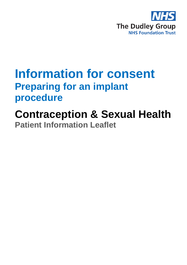

## **Information for consent Preparing for an implant procedure**

**Contraception & Sexual Health Patient Information Leaflet**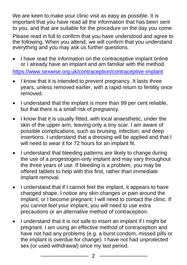We are keen to make your clinic visit as easy as possible. It is important that you have read all the information that has been sent to you, and that are suitable for the procedure on the day you come.

Please read in full to confirm that you have understood and agree to the following. When you attend, we will confirm that you understand everything and you may ask us further questions.

I have read the information on the contraceptive implant online or I already have an implant and am familiar with the method.

<https://www.sexwise.org.uk/contraception/contraceptive-implant>

- I know that it is intended to prevent pregnancy. It lasts three years, unless removed earlier, with a rapid return to fertility once removed.
- I understand that the implant is more than 99 per cent reliable, but that there is a small risk of pregnancy.
- I know that it is usually fitted, with local anaesthetic, under the skin of the upper arm, leaving only a tiny scar. I am aware of possible complications, such as bruising, infection, and deep insertions. I understand that a dressing will be applied and that I will need to wear it for 72 hours for an implant fit.
- I understand that bleeding patterns are likely to change during the use of a progestogen-only implant and may vary throughout the three years of use. If bleeding is a problem, you may be offered tablets to help with this first, rather than immediate implant removal.
- I understand that if I cannot feel the implant, it appears to have changed shape, I notice any skin changes or pain around the implant, or I become pregnant; I will need to contact the clinic. If you cannot feel your implant, you will need to use extra precautions or an alternative method of contraception.
- I understand that it is not safe to insert an implant if I might be pregnant. I am using an effective method of contraception and have not had any problems (e.g. a burst condom, missed pills or the implant is overdue for change). I have not had unprotected sex (or used withdrawal) since my last period.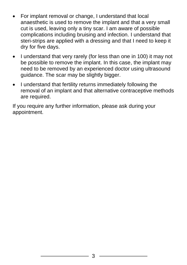- For implant removal or change, I understand that local anaesthetic is used to remove the implant and that a very small cut is used, leaving only a tiny scar. I am aware of possible complications including bruising and infection. I understand that steri-strips are applied with a dressing and that I need to keep it dry for five days.
- I understand that very rarely (for less than one in 100) it may not be possible to remove the implant. In this case, the implant may need to be removed by an experienced doctor using ultrasound guidance. The scar may be slightly bigger.
- I understand that fertility returns immediately following the removal of an implant and that alternative contraceptive methods are required.

If you require any further information, please ask during your appointment.